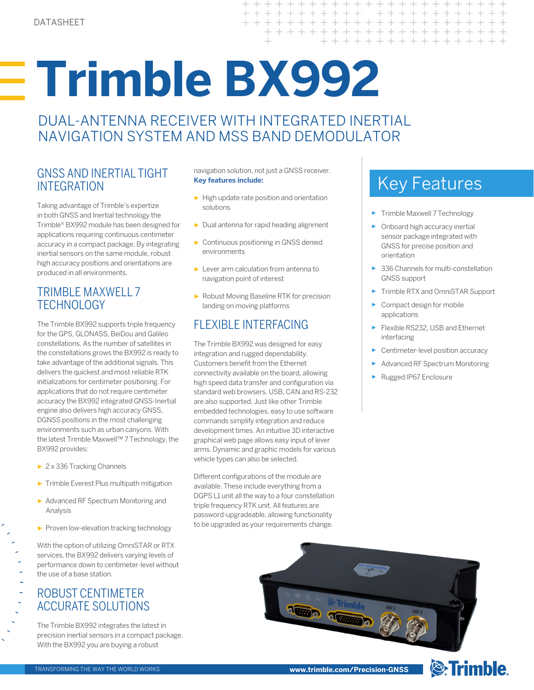# **Trimble BX992**

DUAL-ANTENNA RECEIVER WITH INTEGRATED INERTIAL NAVIGATION SYSTEM AND MSS BAND DEMODULATOR

# GNSS AND INERTIAL TIGHT navigation solution, not just a GNSS receiver.<br>INTEGRATION **Key features include:** INTEGRATION

Taking advantage of Trimble's expertize in both GNSS and Inertial technology the Trimble® BX992 module has been designed for applications requiring continuous centimeter accuracy in a compact package. By integrating inertial sensors on the same module, robust high accuracy positions and orientations are produced in all environments.

# TRIMBLE MAXWELL 7 **TECHNOLOGY**

The Trimble BX992 supports triple frequency for the GPS, GLONASS, BeiDou and Galileo constellations. As the number of satellites in the constellations grows the BX992 is ready to take advantage of the additional signals. This delivers the quickest and most reliable RTK initializations for centimeter positioning. For applications that do not require centimeter accuracy the BX992 integrated GNSS-Inertial engine also delivers high accuracy GNSS, DGNSS positions in the most challenging environments such as urban canyons. With the latest Trimble Maxwell™ 7 Technology, the BX992 provides:

- ► 2 x 336 Tracking Channels
- ► Trimble Everest Plus multipath mitigation
- ► Advanced RF Spectrum Monitoring and Analysis
- ▶ Proven low-elevation tracking technology

With the option of utilizing OmniSTAR or RTX services, the BX992 delivers varying levels of performance down to centimeter-level without the use of a base station.

# ROBUST CENTIMETER ACCURATE SOLUTIONS

The Trimble BX992 integrates the latest in precision inertial sensors in a compact package. With the BX992 you are buying a robust

navigation solution, not just a GNSS receiver. **Key features include:**

 $\perp$ 

 $+$  $+$  $\overline{\phantom{0}}$  $+$  $+$ 

 $+$  $\perp$  $+$ 

> $\overline{\phantom{0}}$  $\perp$

- ► High update rate position and orientation solutions
- ► Dual antenna for rapid heading alignment
- ► Continuous positioning in GNSS denied environments
- ► Lever arm calculation from antenna to navigation point of interest
- ► Robust Moving Baseline RTK for precision landing on moving platforms

# FLEXIBLE INTERFACING

The Trimble BX992 was designed for easy integration and rugged dependability. Customers benefit from the Ethernet connectivity available on the board, allowing high speed data transfer and configuration via standard web browsers. USB, CAN and RS-232 are also supported. Just like other Trimble embedded technologies, easy to use software commands simplify integration and reduce development times. An intuitive 3D interactive graphical web page allows easy input of lever arms. Dynamic and graphic models for various vehicle types can also be selected.

Different configurations of the module are available. These include everything from a DGPS L1 unit all the way to a four constellation triple frequency RTK unit. All features are password-upgradeable, allowing functionality to be upgraded as your requirements change.

► Trimble Maxwell 7 Technology

+ + + + + + +

+ + + + + + + + + + + + +

+ + + + + + + + + +

 $+$ 

 $+ + + +$ 

 $+ + + +$ 

 $\perp$  $+$  $\perp$  $\! + \!\!\!\!$ 

- ► Onboard high accuracy inertial sensor package integrated with GNSS for precise position and orientation
- ► 336 Channels for multi-constellation GNSS support
- ► Trimble RTX and OmniSTAR Support
- Compact design for mobile applications
- ► Flexible RS232, USB and Ethernet interfacing
- ► Centimeter-level position accuracy
- ► Advanced RF Spectrum Monitoring
- ► Rugged IP67 Enclosure



**www.trimble.com/Precision-GNSS**